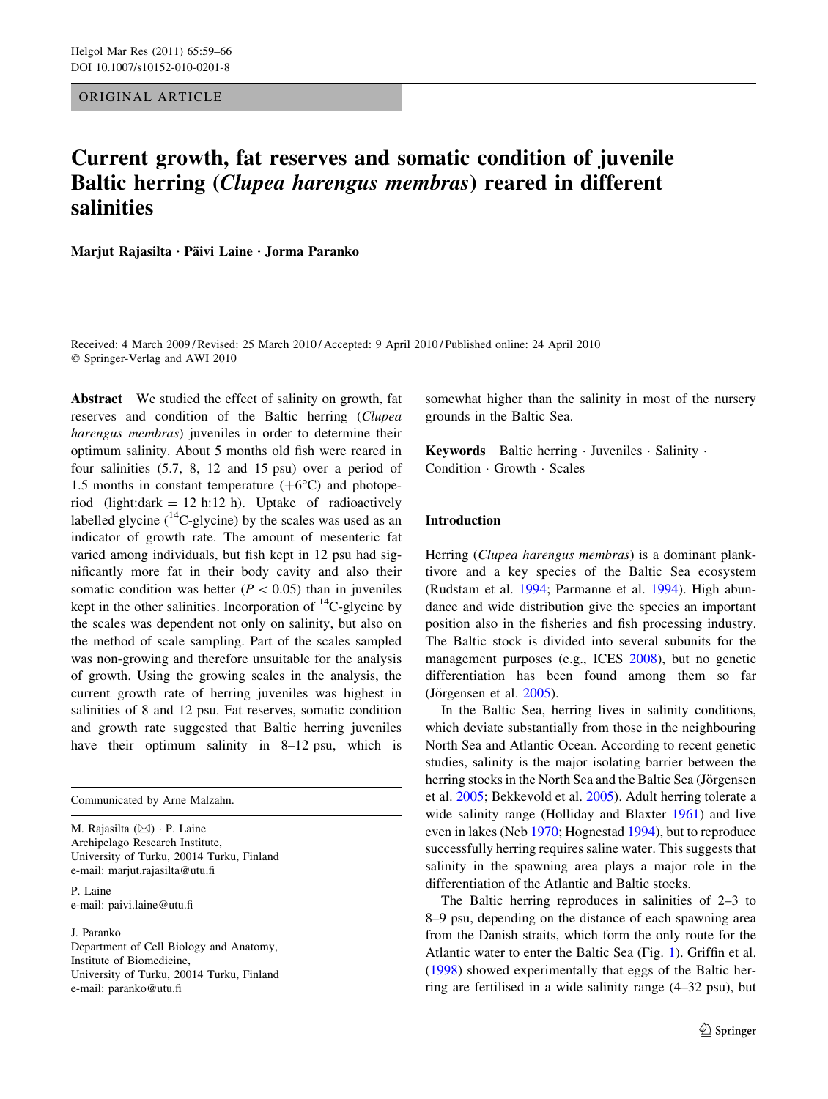ORIGINAL ARTICLE

# Current growth, fat reserves and somatic condition of juvenile Baltic herring (Clupea harengus membras) reared in different salinities

Marjut Rajasilta · Päivi Laine · Jorma Paranko

Received: 4 March 2009 / Revised: 25 March 2010 / Accepted: 9 April 2010 / Published online: 24 April 2010 © Springer-Verlag and AWI 2010

Abstract We studied the effect of salinity on growth, fat reserves and condition of the Baltic herring (Clupea harengus membras) juveniles in order to determine their optimum salinity. About 5 months old fish were reared in four salinities (5.7, 8, 12 and 15 psu) over a period of 1.5 months in constant temperature  $(+6^{\circ}C)$  and photoperiod (light:dark = 12 h:12 h). Uptake of radioactively labelled glycine  $(^{14}C$ -glycine) by the scales was used as an indicator of growth rate. The amount of mesenteric fat varied among individuals, but fish kept in 12 psu had significantly more fat in their body cavity and also their somatic condition was better ( $P < 0.05$ ) than in juveniles kept in the other salinities. Incorporation of  $^{14}$ C-glycine by the scales was dependent not only on salinity, but also on the method of scale sampling. Part of the scales sampled was non-growing and therefore unsuitable for the analysis of growth. Using the growing scales in the analysis, the current growth rate of herring juveniles was highest in salinities of 8 and 12 psu. Fat reserves, somatic condition and growth rate suggested that Baltic herring juveniles have their optimum salinity in 8–12 psu, which is

Communicated by Arne Malzahn.

M. Rajasilta (⊠) · P. Laine Archipelago Research Institute, University of Turku, 20014 Turku, Finland e-mail: marjut.rajasilta@utu.fi

P. Laine e-mail: paivi.laine@utu.fi

J. Paranko Department of Cell Biology and Anatomy, Institute of Biomedicine, University of Turku, 20014 Turku, Finland e-mail: paranko@utu.fi

somewhat higher than the salinity in most of the nursery grounds in the Baltic Sea.

Keywords Baltic herring · Juveniles · Salinity · Condition - Growth - Scales

## Introduction

Herring (Clupea harengus membras) is a dominant planktivore and a key species of the Baltic Sea ecosystem (Rudstam et al. [1994](#page-7-0); Parmanne et al. [1994](#page-7-0)). High abundance and wide distribution give the species an important position also in the fisheries and fish processing industry. The Baltic stock is divided into several subunits for the management purposes (e.g., ICES [2008\)](#page-7-0), but no genetic differentiation has been found among them so far (Jörgensen et al.  $2005$ ).

In the Baltic Sea, herring lives in salinity conditions, which deviate substantially from those in the neighbouring North Sea and Atlantic Ocean. According to recent genetic studies, salinity is the major isolating barrier between the herring stocks in the North Sea and the Baltic Sea (Jörgensen) et al. [2005](#page-7-0); Bekkevold et al. [2005\)](#page-6-0). Adult herring tolerate a wide salinity range (Holliday and Blaxter [1961](#page-6-0)) and live even in lakes (Neb [1970;](#page-7-0) Hognestad [1994\)](#page-6-0), but to reproduce successfully herring requires saline water. This suggests that salinity in the spawning area plays a major role in the differentiation of the Atlantic and Baltic stocks.

The Baltic herring reproduces in salinities of 2–3 to 8–9 psu, depending on the distance of each spawning area from the Danish straits, which form the only route for the Atlantic water to enter the Baltic Sea (Fig. [1\)](#page-1-0). Griffin et al. [\(1998](#page-6-0)) showed experimentally that eggs of the Baltic herring are fertilised in a wide salinity range (4–32 psu), but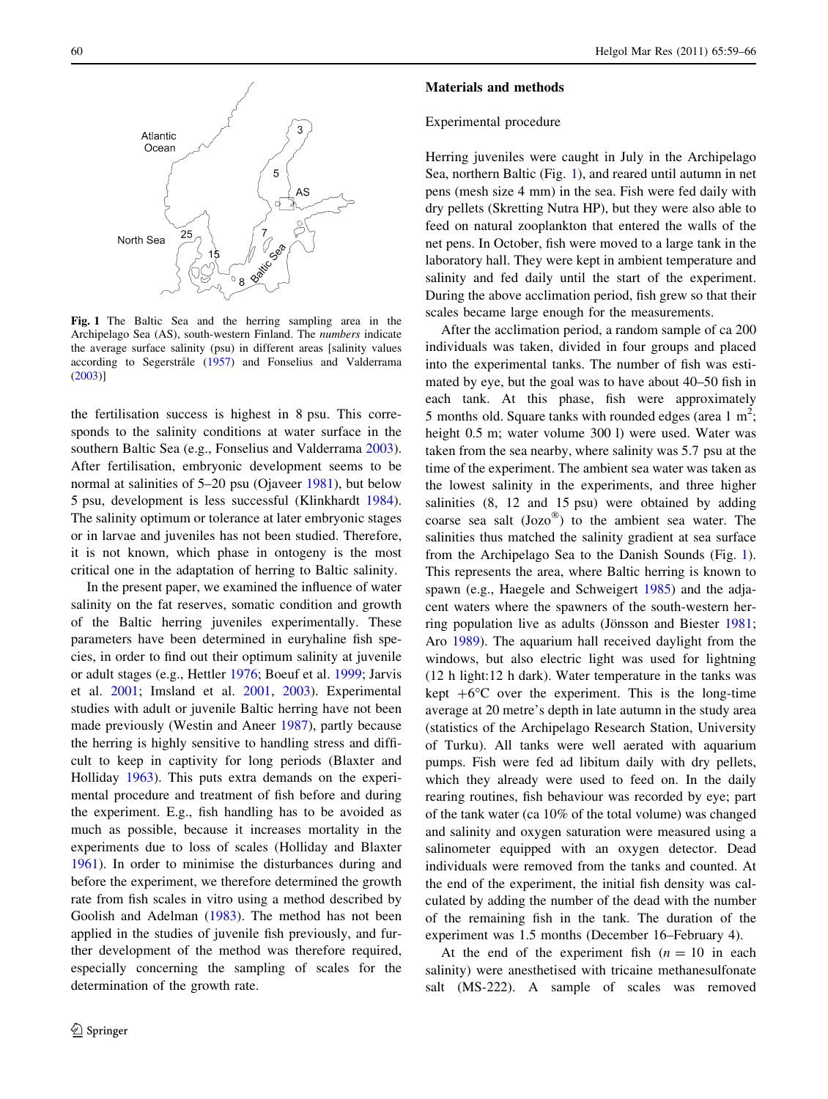<span id="page-1-0"></span>

Fig. 1 The Baltic Sea and the herring sampling area in the Archipelago Sea (AS), south-western Finland. The numbers indicate the average surface salinity (psu) in different areas [salinity values according to Segerstråle [\(1957](#page-7-0)) and Fonselius and Valderrama ([2003\)](#page-6-0)]

the fertilisation success is highest in 8 psu. This corresponds to the salinity conditions at water surface in the southern Baltic Sea (e.g., Fonselius and Valderrama [2003](#page-6-0)). After fertilisation, embryonic development seems to be normal at salinities of 5–20 psu (Ojaveer [1981](#page-7-0)), but below 5 psu, development is less successful (Klinkhardt [1984](#page-7-0)). The salinity optimum or tolerance at later embryonic stages or in larvae and juveniles has not been studied. Therefore, it is not known, which phase in ontogeny is the most critical one in the adaptation of herring to Baltic salinity.

In the present paper, we examined the influence of water salinity on the fat reserves, somatic condition and growth of the Baltic herring juveniles experimentally. These parameters have been determined in euryhaline fish species, in order to find out their optimum salinity at juvenile or adult stages (e.g., Hettler [1976](#page-6-0); Boeuf et al. [1999](#page-6-0); Jarvis et al. [2001;](#page-7-0) Imsland et al. [2001](#page-7-0), [2003](#page-7-0)). Experimental studies with adult or juvenile Baltic herring have not been made previously (Westin and Aneer [1987\)](#page-7-0), partly because the herring is highly sensitive to handling stress and difficult to keep in captivity for long periods (Blaxter and Holliday [1963\)](#page-6-0). This puts extra demands on the experimental procedure and treatment of fish before and during the experiment. E.g., fish handling has to be avoided as much as possible, because it increases mortality in the experiments due to loss of scales (Holliday and Blaxter [1961\)](#page-6-0). In order to minimise the disturbances during and before the experiment, we therefore determined the growth rate from fish scales in vitro using a method described by Goolish and Adelman [\(1983](#page-6-0)). The method has not been applied in the studies of juvenile fish previously, and further development of the method was therefore required, especially concerning the sampling of scales for the determination of the growth rate.

#### Materials and methods

#### Experimental procedure

Herring juveniles were caught in July in the Archipelago Sea, northern Baltic (Fig. 1), and reared until autumn in net pens (mesh size 4 mm) in the sea. Fish were fed daily with dry pellets (Skretting Nutra HP), but they were also able to feed on natural zooplankton that entered the walls of the net pens. In October, fish were moved to a large tank in the laboratory hall. They were kept in ambient temperature and salinity and fed daily until the start of the experiment. During the above acclimation period, fish grew so that their scales became large enough for the measurements.

After the acclimation period, a random sample of ca 200 individuals was taken, divided in four groups and placed into the experimental tanks. The number of fish was estimated by eye, but the goal was to have about 40–50 fish in each tank. At this phase, fish were approximately 5 months old. Square tanks with rounded edges (area  $1 \text{ m}^2$ ; height 0.5 m; water volume 300 l) were used. Water was taken from the sea nearby, where salinity was 5.7 psu at the time of the experiment. The ambient sea water was taken as the lowest salinity in the experiments, and three higher salinities (8, 12 and 15 psu) were obtained by adding coarse sea salt  $(Jozo^{\omega})$  to the ambient sea water. The salinities thus matched the salinity gradient at sea surface from the Archipelago Sea to the Danish Sounds (Fig. 1). This represents the area, where Baltic herring is known to spawn (e.g., Haegele and Schweigert [1985\)](#page-6-0) and the adjacent waters where the spawners of the south-western her-ring population live as adults (Jönsson and Biester [1981](#page-7-0); Aro [1989](#page-6-0)). The aquarium hall received daylight from the windows, but also electric light was used for lightning (12 h light:12 h dark). Water temperature in the tanks was kept  $+6^{\circ}$ C over the experiment. This is the long-time average at 20 metre's depth in late autumn in the study area (statistics of the Archipelago Research Station, University of Turku). All tanks were well aerated with aquarium pumps. Fish were fed ad libitum daily with dry pellets, which they already were used to feed on. In the daily rearing routines, fish behaviour was recorded by eye; part of the tank water (ca 10% of the total volume) was changed and salinity and oxygen saturation were measured using a salinometer equipped with an oxygen detector. Dead individuals were removed from the tanks and counted. At the end of the experiment, the initial fish density was calculated by adding the number of the dead with the number of the remaining fish in the tank. The duration of the experiment was 1.5 months (December 16–February 4).

At the end of the experiment fish  $(n = 10)$  in each salinity) were anesthetised with tricaine methanesulfonate salt (MS-222). A sample of scales was removed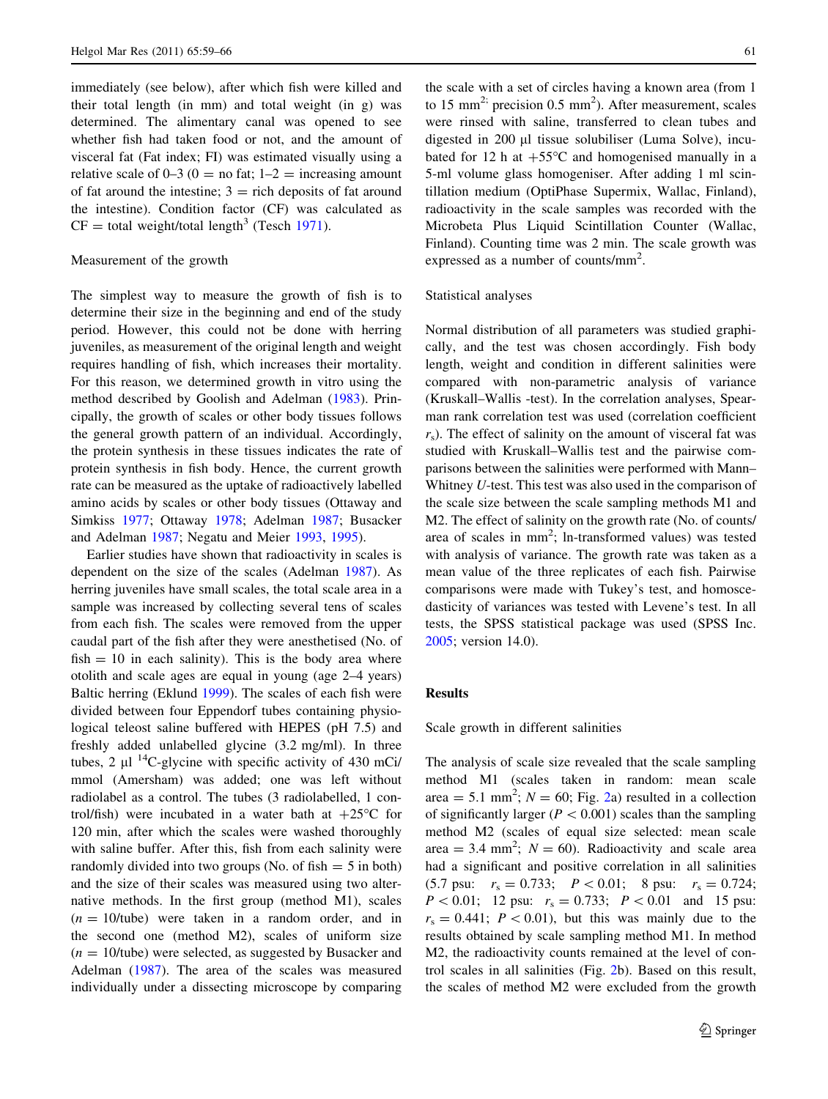immediately (see below), after which fish were killed and their total length (in mm) and total weight (in g) was determined. The alimentary canal was opened to see whether fish had taken food or not, and the amount of visceral fat (Fat index; FI) was estimated visually using a relative scale of  $0-3$  ( $0 =$  no fat;  $1-2 =$  increasing amount of fat around the intestine;  $3 =$  rich deposits of fat around the intestine). Condition factor (CF) was calculated as  $CF = total weight/total length<sup>3</sup> (Test 1971).$  $CF = total weight/total length<sup>3</sup> (Test 1971).$  $CF = total weight/total length<sup>3</sup> (Test 1971).$ 

## Measurement of the growth

The simplest way to measure the growth of fish is to determine their size in the beginning and end of the study period. However, this could not be done with herring juveniles, as measurement of the original length and weight requires handling of fish, which increases their mortality. For this reason, we determined growth in vitro using the method described by Goolish and Adelman [\(1983](#page-6-0)). Principally, the growth of scales or other body tissues follows the general growth pattern of an individual. Accordingly, the protein synthesis in these tissues indicates the rate of protein synthesis in fish body. Hence, the current growth rate can be measured as the uptake of radioactively labelled amino acids by scales or other body tissues (Ottaway and Simkiss [1977;](#page-7-0) Ottaway [1978](#page-7-0); Adelman [1987](#page-6-0); Busacker and Adelman [1987;](#page-6-0) Negatu and Meier [1993](#page-7-0), [1995\)](#page-7-0).

Earlier studies have shown that radioactivity in scales is dependent on the size of the scales (Adelman [1987](#page-6-0)). As herring juveniles have small scales, the total scale area in a sample was increased by collecting several tens of scales from each fish. The scales were removed from the upper caudal part of the fish after they were anesthetised (No. of  $fish = 10$  in each salinity). This is the body area where otolith and scale ages are equal in young (age 2–4 years) Baltic herring (Eklund [1999](#page-6-0)). The scales of each fish were divided between four Eppendorf tubes containing physiological teleost saline buffered with HEPES (pH 7.5) and freshly added unlabelled glycine (3.2 mg/ml). In three tubes, 2  $\mu$ l <sup>14</sup>C-glycine with specific activity of 430 mCi/ mmol (Amersham) was added; one was left without radiolabel as a control. The tubes (3 radiolabelled, 1 control/fish) were incubated in a water bath at  $+25^{\circ}$ C for 120 min, after which the scales were washed thoroughly with saline buffer. After this, fish from each salinity were randomly divided into two groups (No. of fish  $= 5$  in both) and the size of their scales was measured using two alternative methods. In the first group (method M1), scales  $(n = 10/tube)$  were taken in a random order, and in the second one (method M2), scales of uniform size  $(n = 10/tube)$  were selected, as suggested by Busacker and Adelman [\(1987](#page-6-0)). The area of the scales was measured individually under a dissecting microscope by comparing

the scale with a set of circles having a known area (from 1 to 15 mm<sup>2;</sup> precision 0.5 mm<sup>2</sup>). After measurement, scales were rinsed with saline, transferred to clean tubes and digested in 200 µl tissue solubiliser (Luma Solve), incubated for 12 h at  $+55^{\circ}$ C and homogenised manually in a 5-ml volume glass homogeniser. After adding 1 ml scintillation medium (OptiPhase Supermix, Wallac, Finland), radioactivity in the scale samples was recorded with the Microbeta Plus Liquid Scintillation Counter (Wallac, Finland). Counting time was 2 min. The scale growth was expressed as a number of counts/mm<sup>2</sup>.

#### Statistical analyses

Normal distribution of all parameters was studied graphically, and the test was chosen accordingly. Fish body length, weight and condition in different salinities were compared with non-parametric analysis of variance (Kruskall–Wallis -test). In the correlation analyses, Spearman rank correlation test was used (correlation coefficient  $r<sub>s</sub>$ ). The effect of salinity on the amount of visceral fat was studied with Kruskall–Wallis test and the pairwise comparisons between the salinities were performed with Mann– Whitney U-test. This test was also used in the comparison of the scale size between the scale sampling methods M1 and M2. The effect of salinity on the growth rate (No. of counts/ area of scales in mm<sup>2</sup>; ln-transformed values) was tested with analysis of variance. The growth rate was taken as a mean value of the three replicates of each fish. Pairwise comparisons were made with Tukey's test, and homoscedasticity of variances was tested with Levene's test. In all tests, the SPSS statistical package was used (SPSS Inc. [2005](#page-7-0); version 14.0).

# Results

Scale growth in different salinities

The analysis of scale size revealed that the scale sampling method M1 (scales taken in random: mean scale area = 5.1 mm<sup>2</sup>;  $N = 60$ ; Fig. [2a](#page-3-0)) resulted in a collection of significantly larger ( $P < 0.001$ ) scales than the sampling method M2 (scales of equal size selected: mean scale area = 3.4 mm<sup>2</sup>;  $N = 60$ ). Radioactivity and scale area had a significant and positive correlation in all salinities (5.7 psu:  $r_s = 0.733;$   $P < 0.01;$  8 psu:  $r_s = 0.724;$  $P < 0.01$ ; 12 psu:  $r_s = 0.733$ ;  $P < 0.01$  and 15 psu:  $r_s = 0.441$ ;  $P \lt 0.01$ ), but this was mainly due to the results obtained by scale sampling method M1. In method M2, the radioactivity counts remained at the level of control scales in all salinities (Fig. [2](#page-3-0)b). Based on this result, the scales of method M2 were excluded from the growth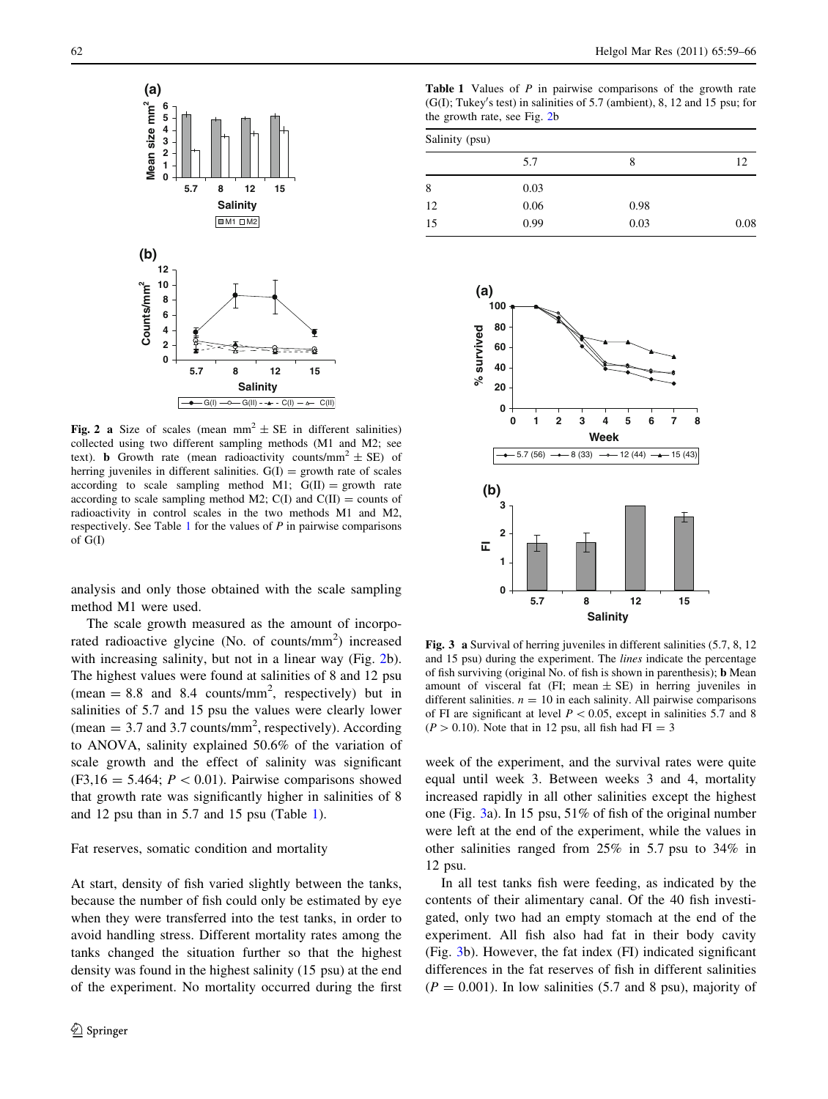<span id="page-3-0"></span>

Fig. 2 a Size of scales (mean  $mm^2 \pm SE$  in different salinities) collected using two different sampling methods (M1 and M2; see text). **b** Growth rate (mean radioactivity counts/mm<sup>2</sup>  $\pm$  SE) of herring juveniles in different salinities.  $G(I) =$  growth rate of scales according to scale sampling method M1;  $G(II) =$  growth rate according to scale sampling method M2;  $C(I)$  and  $C(II) =$  counts of radioactivity in control scales in the two methods M1 and M2, respectively. See Table 1 for the values of  $P$  in pairwise comparisons of G(I)

analysis and only those obtained with the scale sampling method M1 were used.

The scale growth measured as the amount of incorporated radioactive glycine (No. of counts/mm<sup>2</sup>) increased with increasing salinity, but not in a linear way (Fig. 2b). The highest values were found at salinities of 8 and 12 psu  $(mean = 8.8 \text{ and } 8.4 \text{ counts/mm}^2,$  respectively) but in salinities of 5.7 and 15 psu the values were clearly lower (mean  $=$  3.7 and 3.7 counts/mm<sup>2</sup>, respectively). According to ANOVA, salinity explained 50.6% of the variation of scale growth and the effect of salinity was significant  $(F3,16 = 5.464; P < 0.01)$ . Pairwise comparisons showed that growth rate was significantly higher in salinities of 8 and 12 psu than in 5.7 and 15 psu (Table 1).

#### Fat reserves, somatic condition and mortality

At start, density of fish varied slightly between the tanks, because the number of fish could only be estimated by eye when they were transferred into the test tanks, in order to avoid handling stress. Different mortality rates among the tanks changed the situation further so that the highest density was found in the highest salinity (15 psu) at the end of the experiment. No mortality occurred during the first

Table 1 Values of P in pairwise comparisons of the growth rate  $(G(I);$  Tukey's test) in salinities of 5.7 (ambient), 8, 12 and 15 psu; for the growth rate, see Fig. 2b

| Salinity (psu) |      |      |      |  |
|----------------|------|------|------|--|
|                | 5.7  | 8    | 12   |  |
| 8              | 0.03 |      |      |  |
| 12             | 0.06 | 0.98 |      |  |
| 15             | 0.99 | 0.03 | 0.08 |  |



Fig. 3 a Survival of herring juveniles in different salinities (5.7, 8, 12 and 15 psu) during the experiment. The lines indicate the percentage of fish surviving (original No. of fish is shown in parenthesis); b Mean amount of visceral fat (FI; mean  $\pm$  SE) in herring juveniles in different salinities.  $n = 10$  in each salinity. All pairwise comparisons of FI are significant at level  $P < 0.05$ , except in salinities 5.7 and 8  $(P > 0.10)$ . Note that in 12 psu, all fish had FI = 3

week of the experiment, and the survival rates were quite equal until week 3. Between weeks 3 and 4, mortality increased rapidly in all other salinities except the highest one (Fig. 3a). In 15 psu, 51% of fish of the original number were left at the end of the experiment, while the values in other salinities ranged from 25% in 5.7 psu to 34% in 12 psu.

In all test tanks fish were feeding, as indicated by the contents of their alimentary canal. Of the 40 fish investigated, only two had an empty stomach at the end of the experiment. All fish also had fat in their body cavity (Fig. 3b). However, the fat index (FI) indicated significant differences in the fat reserves of fish in different salinities  $(P = 0.001)$ . In low salinities (5.7 and 8 psu), majority of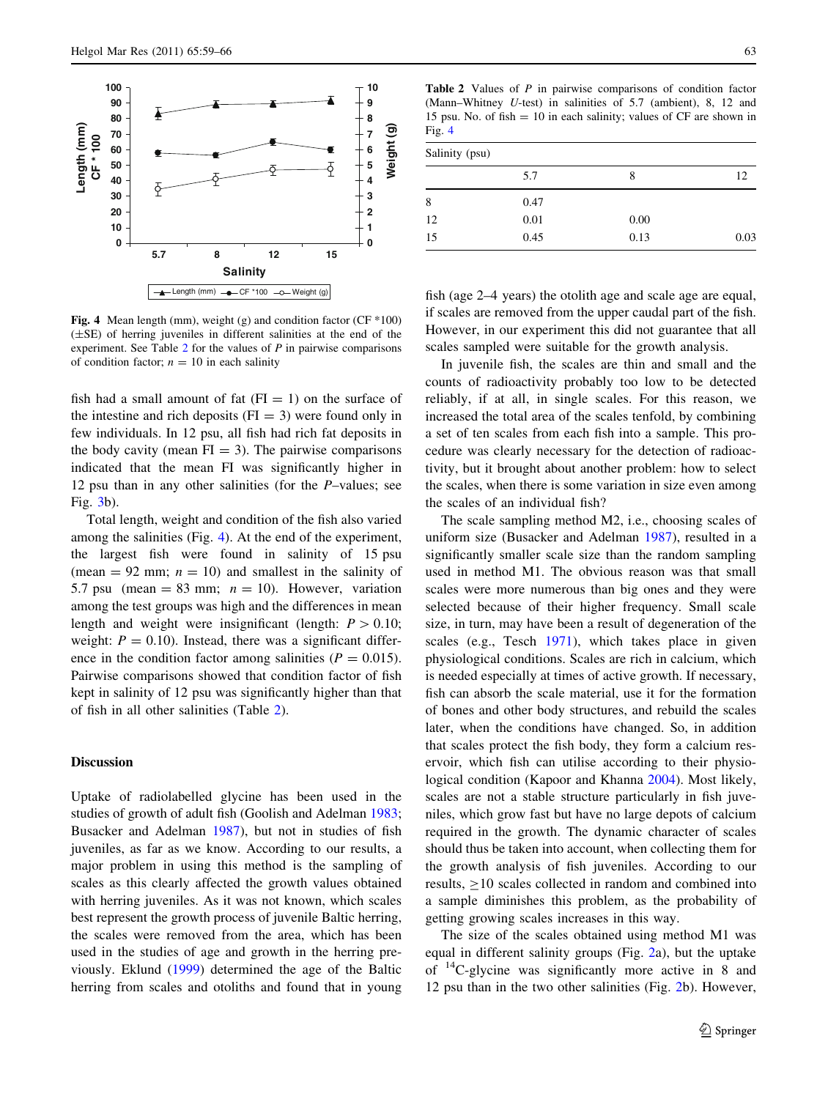<span id="page-4-0"></span>

Fig. 4 Mean length (mm), weight (g) and condition factor (CF \*100) (±SE) of herring juveniles in different salinities at the end of the experiment. See Table  $2$  for the values of  $P$  in pairwise comparisons of condition factor;  $n = 10$  in each salinity

fish had a small amount of fat  $(FI = 1)$  on the surface of the intestine and rich deposits  $(FI = 3)$  were found only in few individuals. In 12 psu, all fish had rich fat deposits in the body cavity (mean  $FI = 3$ ). The pairwise comparisons indicated that the mean FI was significantly higher in 12 psu than in any other salinities (for the P–values; see Fig. [3](#page-3-0)b).

Total length, weight and condition of the fish also varied among the salinities (Fig. 4). At the end of the experiment, the largest fish were found in salinity of 15 psu (mean  $= 92$  mm;  $n = 10$ ) and smallest in the salinity of 5.7 psu (mean = 83 mm;  $n = 10$ ). However, variation among the test groups was high and the differences in mean length and weight were insignificant (length:  $P > 0.10$ ; weight:  $P = 0.10$ ). Instead, there was a significant difference in the condition factor among salinities ( $P = 0.015$ ). Pairwise comparisons showed that condition factor of fish kept in salinity of 12 psu was significantly higher than that of fish in all other salinities (Table 2).

## Discussion

Uptake of radiolabelled glycine has been used in the studies of growth of adult fish (Goolish and Adelman [1983](#page-6-0); Busacker and Adelman [1987\)](#page-6-0), but not in studies of fish juveniles, as far as we know. According to our results, a major problem in using this method is the sampling of scales as this clearly affected the growth values obtained with herring juveniles. As it was not known, which scales best represent the growth process of juvenile Baltic herring, the scales were removed from the area, which has been used in the studies of age and growth in the herring previously. Eklund ([1999\)](#page-6-0) determined the age of the Baltic herring from scales and otoliths and found that in young

Table 2 Values of P in pairwise comparisons of condition factor (Mann–Whitney U-test) in salinities of 5.7 (ambient), 8, 12 and 15 psu. No. of fish  $= 10$  in each salinity; values of CF are shown in Fig. 4

| Salinity (psu) |      |      |      |  |
|----------------|------|------|------|--|
|                | 5.7  | 8    | 12   |  |
| 8              | 0.47 |      |      |  |
| 12             | 0.01 | 0.00 |      |  |
| 15             | 0.45 | 0.13 | 0.03 |  |

fish (age 2–4 years) the otolith age and scale age are equal, if scales are removed from the upper caudal part of the fish. However, in our experiment this did not guarantee that all scales sampled were suitable for the growth analysis.

In juvenile fish, the scales are thin and small and the counts of radioactivity probably too low to be detected reliably, if at all, in single scales. For this reason, we increased the total area of the scales tenfold, by combining a set of ten scales from each fish into a sample. This procedure was clearly necessary for the detection of radioactivity, but it brought about another problem: how to select the scales, when there is some variation in size even among the scales of an individual fish?

The scale sampling method M2, i.e., choosing scales of uniform size (Busacker and Adelman [1987\)](#page-6-0), resulted in a significantly smaller scale size than the random sampling used in method M1. The obvious reason was that small scales were more numerous than big ones and they were selected because of their higher frequency. Small scale size, in turn, may have been a result of degeneration of the scales (e.g., Tesch [1971](#page-7-0)), which takes place in given physiological conditions. Scales are rich in calcium, which is needed especially at times of active growth. If necessary, fish can absorb the scale material, use it for the formation of bones and other body structures, and rebuild the scales later, when the conditions have changed. So, in addition that scales protect the fish body, they form a calcium reservoir, which fish can utilise according to their physiological condition (Kapoor and Khanna [2004](#page-7-0)). Most likely, scales are not a stable structure particularly in fish juveniles, which grow fast but have no large depots of calcium required in the growth. The dynamic character of scales should thus be taken into account, when collecting them for the growth analysis of fish juveniles. According to our results,  $\geq$ 10 scales collected in random and combined into a sample diminishes this problem, as the probability of getting growing scales increases in this way.

The size of the scales obtained using method M1 was equal in different salinity groups (Fig. [2a](#page-3-0)), but the uptake of 14C-glycine was significantly more active in 8 and 12 psu than in the two other salinities (Fig. [2](#page-3-0)b). However,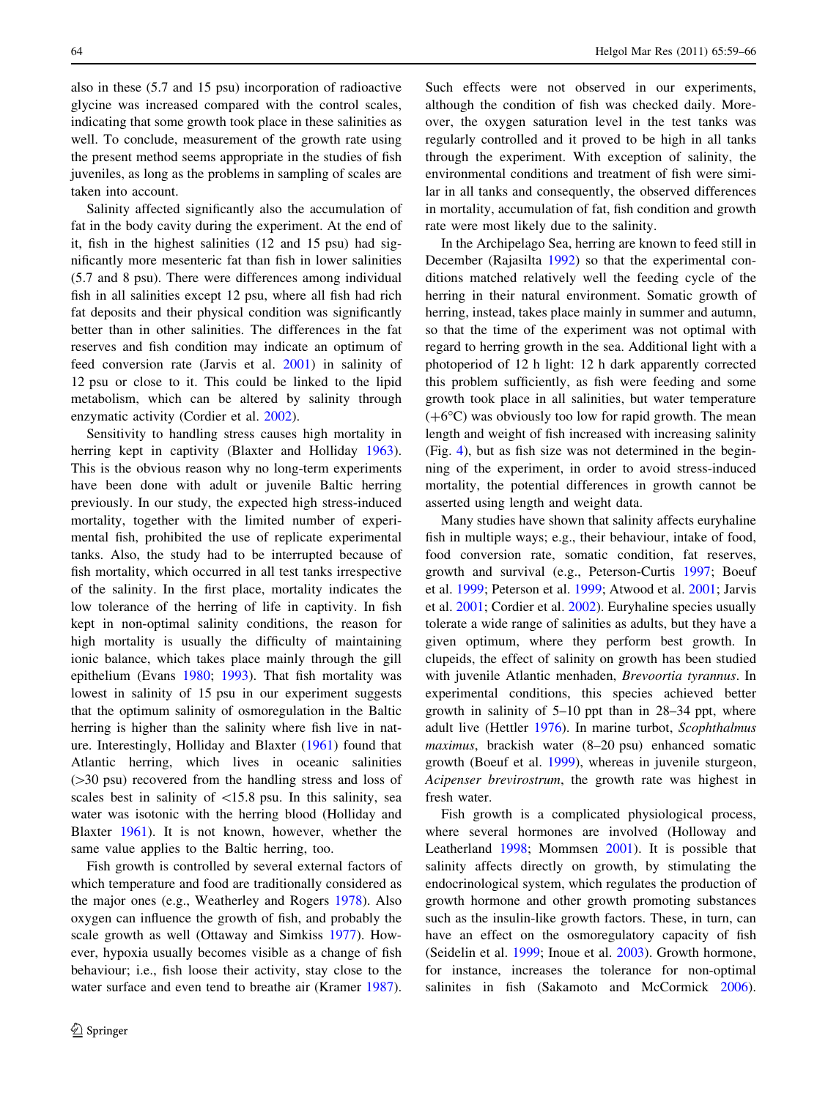also in these (5.7 and 15 psu) incorporation of radioactive glycine was increased compared with the control scales, indicating that some growth took place in these salinities as well. To conclude, measurement of the growth rate using the present method seems appropriate in the studies of fish juveniles, as long as the problems in sampling of scales are taken into account.

Salinity affected significantly also the accumulation of fat in the body cavity during the experiment. At the end of it, fish in the highest salinities (12 and 15 psu) had significantly more mesenteric fat than fish in lower salinities (5.7 and 8 psu). There were differences among individual fish in all salinities except 12 psu, where all fish had rich fat deposits and their physical condition was significantly better than in other salinities. The differences in the fat reserves and fish condition may indicate an optimum of feed conversion rate (Jarvis et al. [2001\)](#page-7-0) in salinity of 12 psu or close to it. This could be linked to the lipid metabolism, which can be altered by salinity through enzymatic activity (Cordier et al. [2002\)](#page-6-0).

Sensitivity to handling stress causes high mortality in herring kept in captivity (Blaxter and Holliday [1963](#page-6-0)). This is the obvious reason why no long-term experiments have been done with adult or juvenile Baltic herring previously. In our study, the expected high stress-induced mortality, together with the limited number of experimental fish, prohibited the use of replicate experimental tanks. Also, the study had to be interrupted because of fish mortality, which occurred in all test tanks irrespective of the salinity. In the first place, mortality indicates the low tolerance of the herring of life in captivity. In fish kept in non-optimal salinity conditions, the reason for high mortality is usually the difficulty of maintaining ionic balance, which takes place mainly through the gill epithelium (Evans [1980](#page-6-0); [1993\)](#page-6-0). That fish mortality was lowest in salinity of 15 psu in our experiment suggests that the optimum salinity of osmoregulation in the Baltic herring is higher than the salinity where fish live in nature. Interestingly, Holliday and Blaxter [\(1961](#page-6-0)) found that Atlantic herring, which lives in oceanic salinities  $(>=30 \text{ psu})$  recovered from the handling stress and loss of scales best in salinity of  $\langle 15.8 \rangle$  psu. In this salinity, sea water was isotonic with the herring blood (Holliday and Blaxter [1961](#page-6-0)). It is not known, however, whether the same value applies to the Baltic herring, too.

Fish growth is controlled by several external factors of which temperature and food are traditionally considered as the major ones (e.g., Weatherley and Rogers [1978\)](#page-7-0). Also oxygen can influence the growth of fish, and probably the scale growth as well (Ottaway and Simkiss [1977\)](#page-7-0). However, hypoxia usually becomes visible as a change of fish behaviour; i.e., fish loose their activity, stay close to the water surface and even tend to breathe air (Kramer [1987](#page-7-0)). Such effects were not observed in our experiments, although the condition of fish was checked daily. Moreover, the oxygen saturation level in the test tanks was regularly controlled and it proved to be high in all tanks through the experiment. With exception of salinity, the environmental conditions and treatment of fish were similar in all tanks and consequently, the observed differences in mortality, accumulation of fat, fish condition and growth rate were most likely due to the salinity.

In the Archipelago Sea, herring are known to feed still in December (Rajasilta [1992\)](#page-7-0) so that the experimental conditions matched relatively well the feeding cycle of the herring in their natural environment. Somatic growth of herring, instead, takes place mainly in summer and autumn, so that the time of the experiment was not optimal with regard to herring growth in the sea. Additional light with a photoperiod of 12 h light: 12 h dark apparently corrected this problem sufficiently, as fish were feeding and some growth took place in all salinities, but water temperature  $(+6^{\circ}C)$  was obviously too low for rapid growth. The mean length and weight of fish increased with increasing salinity (Fig. [4\)](#page-4-0), but as fish size was not determined in the beginning of the experiment, in order to avoid stress-induced mortality, the potential differences in growth cannot be asserted using length and weight data.

Many studies have shown that salinity affects euryhaline fish in multiple ways; e.g., their behaviour, intake of food, food conversion rate, somatic condition, fat reserves, growth and survival (e.g., Peterson-Curtis [1997](#page-7-0); Boeuf et al. [1999](#page-6-0); Peterson et al. [1999](#page-7-0); Atwood et al. [2001;](#page-6-0) Jarvis et al. [2001](#page-7-0); Cordier et al. [2002\)](#page-6-0). Euryhaline species usually tolerate a wide range of salinities as adults, but they have a given optimum, where they perform best growth. In clupeids, the effect of salinity on growth has been studied with juvenile Atlantic menhaden, Brevoortia tyrannus. In experimental conditions, this species achieved better growth in salinity of 5–10 ppt than in 28–34 ppt, where adult live (Hettler [1976](#page-6-0)). In marine turbot, Scophthalmus maximus, brackish water (8–20 psu) enhanced somatic growth (Boeuf et al. [1999\)](#page-6-0), whereas in juvenile sturgeon, Acipenser brevirostrum, the growth rate was highest in fresh water.

Fish growth is a complicated physiological process, where several hormones are involved (Holloway and Leatherland [1998;](#page-6-0) Mommsen [2001\)](#page-7-0). It is possible that salinity affects directly on growth, by stimulating the endocrinological system, which regulates the production of growth hormone and other growth promoting substances such as the insulin-like growth factors. These, in turn, can have an effect on the osmoregulatory capacity of fish (Seidelin et al. [1999;](#page-7-0) Inoue et al. [2003\)](#page-7-0). Growth hormone, for instance, increases the tolerance for non-optimal salinites in fish (Sakamoto and McCormick [2006](#page-7-0)).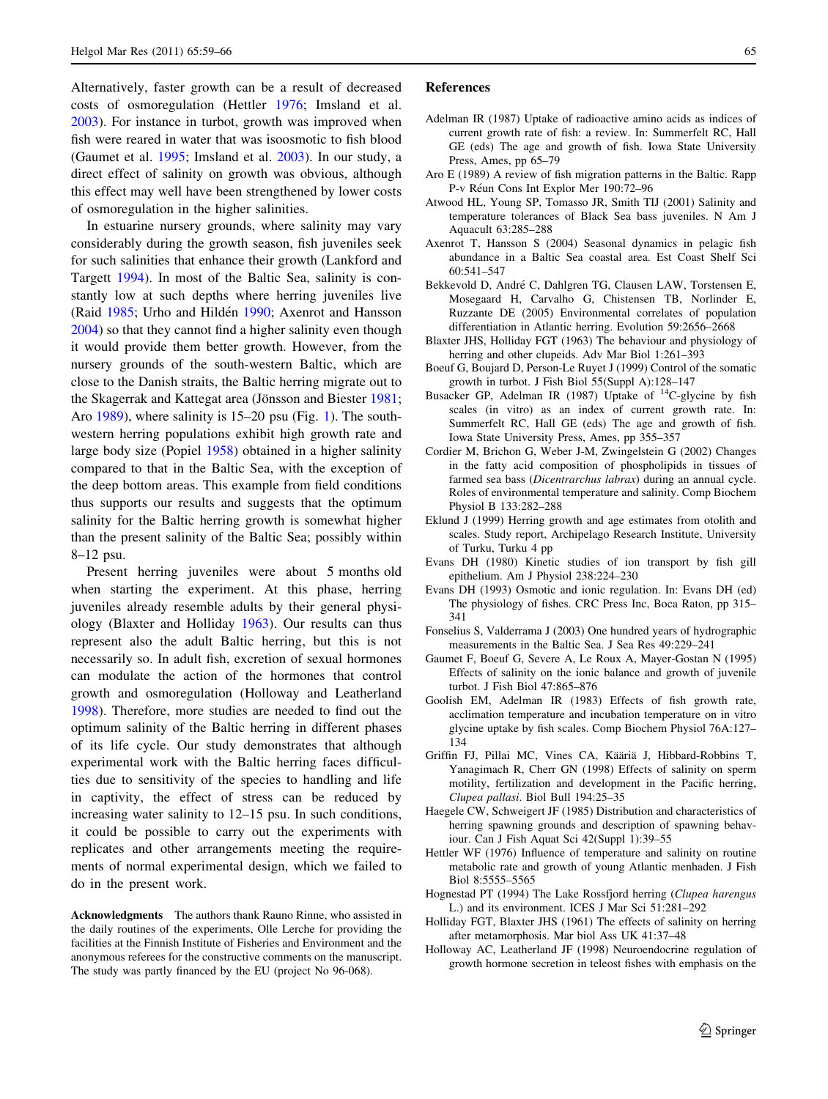<span id="page-6-0"></span>Alternatively, faster growth can be a result of decreased costs of osmoregulation (Hettler 1976; Imsland et al. [2003\)](#page-7-0). For instance in turbot, growth was improved when fish were reared in water that was isoosmotic to fish blood (Gaumet et al. 1995; Imsland et al. [2003](#page-7-0)). In our study, a direct effect of salinity on growth was obvious, although this effect may well have been strengthened by lower costs of osmoregulation in the higher salinities.

In estuarine nursery grounds, where salinity may vary considerably during the growth season, fish juveniles seek for such salinities that enhance their growth (Lankford and Targett [1994\)](#page-7-0). In most of the Baltic Sea, salinity is constantly low at such depths where herring juveniles live (Raid [1985;](#page-7-0) Urho and Hildén [1990;](#page-7-0) Axenrot and Hansson 2004) so that they cannot find a higher salinity even though it would provide them better growth. However, from the nursery grounds of the south-western Baltic, which are close to the Danish straits, the Baltic herring migrate out to the Skagerrak and Kattegat area (Jönsson and Biester [1981](#page-7-0); Aro 1989), where salinity is 15–20 psu (Fig. [1\)](#page-1-0). The southwestern herring populations exhibit high growth rate and large body size (Popiel [1958](#page-7-0)) obtained in a higher salinity compared to that in the Baltic Sea, with the exception of the deep bottom areas. This example from field conditions thus supports our results and suggests that the optimum salinity for the Baltic herring growth is somewhat higher than the present salinity of the Baltic Sea; possibly within 8–12 psu.

Present herring juveniles were about 5 months old when starting the experiment. At this phase, herring juveniles already resemble adults by their general physiology (Blaxter and Holliday 1963). Our results can thus represent also the adult Baltic herring, but this is not necessarily so. In adult fish, excretion of sexual hormones can modulate the action of the hormones that control growth and osmoregulation (Holloway and Leatherland 1998). Therefore, more studies are needed to find out the optimum salinity of the Baltic herring in different phases of its life cycle. Our study demonstrates that although experimental work with the Baltic herring faces difficulties due to sensitivity of the species to handling and life in captivity, the effect of stress can be reduced by increasing water salinity to 12–15 psu. In such conditions, it could be possible to carry out the experiments with replicates and other arrangements meeting the requirements of normal experimental design, which we failed to do in the present work.

Acknowledgments The authors thank Rauno Rinne, who assisted in the daily routines of the experiments, Olle Lerche for providing the facilities at the Finnish Institute of Fisheries and Environment and the anonymous referees for the constructive comments on the manuscript. The study was partly financed by the EU (project No 96-068).

#### References

- Adelman IR (1987) Uptake of radioactive amino acids as indices of current growth rate of fish: a review. In: Summerfelt RC, Hall GE (eds) The age and growth of fish. Iowa State University Press, Ames, pp 65–79
- Aro E (1989) A review of fish migration patterns in the Baltic. Rapp P-v Réun Cons Int Explor Mer 190:72-96
- Atwood HL, Young SP, Tomasso JR, Smith TIJ (2001) Salinity and temperature tolerances of Black Sea bass juveniles. N Am J Aquacult 63:285–288
- Axenrot T, Hansson S (2004) Seasonal dynamics in pelagic fish abundance in a Baltic Sea coastal area. Est Coast Shelf Sci 60:541–547
- Bekkevold D, André C, Dahlgren TG, Clausen LAW, Torstensen E, Mosegaard H, Carvalho G, Chistensen TB, Norlinder E, Ruzzante DE (2005) Environmental correlates of population differentiation in Atlantic herring. Evolution 59:2656–2668
- Blaxter JHS, Holliday FGT (1963) The behaviour and physiology of herring and other clupeids. Adv Mar Biol 1:261–393
- Boeuf G, Boujard D, Person-Le Ruyet J (1999) Control of the somatic growth in turbot. J Fish Biol 55(Suppl A):128–147
- Busacker GP, Adelman IR (1987) Uptake of  $^{14}$ C-glycine by fish scales (in vitro) as an index of current growth rate. In: Summerfelt RC, Hall GE (eds) The age and growth of fish. Iowa State University Press, Ames, pp 355–357
- Cordier M, Brichon G, Weber J-M, Zwingelstein G (2002) Changes in the fatty acid composition of phospholipids in tissues of farmed sea bass (Dicentrarchus labrax) during an annual cycle. Roles of environmental temperature and salinity. Comp Biochem Physiol B 133:282–288
- Eklund J (1999) Herring growth and age estimates from otolith and scales. Study report, Archipelago Research Institute, University of Turku, Turku 4 pp
- Evans DH (1980) Kinetic studies of ion transport by fish gill epithelium. Am J Physiol 238:224–230
- Evans DH (1993) Osmotic and ionic regulation. In: Evans DH (ed) The physiology of fishes. CRC Press Inc, Boca Raton, pp 315– 341
- Fonselius S, Valderrama J (2003) One hundred years of hydrographic measurements in the Baltic Sea. J Sea Res 49:229–241
- Gaumet F, Boeuf G, Severe A, Le Roux A, Mayer-Gostan N (1995) Effects of salinity on the ionic balance and growth of juvenile turbot. J Fish Biol 47:865–876
- Goolish EM, Adelman IR (1983) Effects of fish growth rate, acclimation temperature and incubation temperature on in vitro glycine uptake by fish scales. Comp Biochem Physiol 76A:127– 134
- Griffin FJ, Pillai MC, Vines CA, Kääriä J, Hibbard-Robbins T, Yanagimach R, Cherr GN (1998) Effects of salinity on sperm motility, fertilization and development in the Pacific herring, Clupea pallasi. Biol Bull 194:25–35
- Haegele CW, Schweigert JF (1985) Distribution and characteristics of herring spawning grounds and description of spawning behaviour. Can J Fish Aquat Sci 42(Suppl 1):39–55
- Hettler WF (1976) Influence of temperature and salinity on routine metabolic rate and growth of young Atlantic menhaden. J Fish Biol 8:5555–5565
- Hognestad PT (1994) The Lake Rossfjord herring (Clupea harengus L.) and its environment. ICES J Mar Sci 51:281–292
- Holliday FGT, Blaxter JHS (1961) The effects of salinity on herring after metamorphosis. Mar biol Ass UK 41:37–48
- Holloway AC, Leatherland JF (1998) Neuroendocrine regulation of growth hormone secretion in teleost fishes with emphasis on the